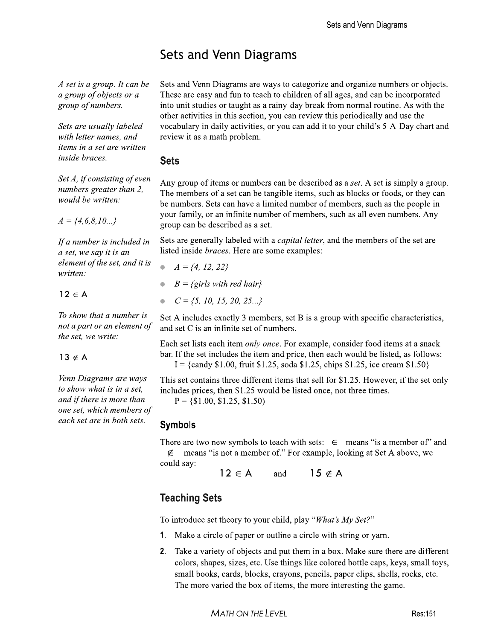# Sets and Venn Diagrams

A set is a group. It can be a group of objects or a group of numbers.

Sets are usually labeled with letter names, and items in a set are written *inside braces.* 

Set A, if consisting of even numbers greater than 2, would be written:

 $A = \{4,6,8,10...\}$ 

If a number is included in a set, we say it is an element of the set, and it is written:

 $12 \in A$ 

To show that a number is not a part or an element of the set, we write:

### $13 \notin A$

Venn Diagrams are ways to show what is in a set. and if there is more than one set, which members of each set are in both sets.

Sets and Venn Diagrams are ways to categorize and organize numbers or objects. These are easy and fun to teach to children of all ages, and can be incorporated into unit studies or taught as a rainy-day break from normal routine. As with the other activities in this section, you can review this periodically and use the vocabulary in daily activities, or you can add it to your child's 5-A-Day chart and review it as a math problem.

## **Sets**

Any group of items or numbers can be described as a set. A set is simply a group. The members of a set can be tangible items, such as blocks or foods, or they can be numbers. Sets can have a limited number of members, such as the people in your family, or an infinite number of members, such as all even numbers. Any group can be described as a set.

Sets are generally labeled with a *capital letter*, and the members of the set are listed inside braces. Here are some examples:

- $A = \{4, 12, 22\}$  $B = \{girls with red hair\}$
- $C = \{5, 10, 15, 20, 25 \ldots\}$

Set A includes exactly 3 members, set B is a group with specific characteristics, and set C is an infinite set of numbers.

Each set lists each item *only once*. For example, consider food items at a snack bar. If the set includes the item and price, then each would be listed, as follows: I = {candy \$1.00, fruit \$1.25, soda \$1.25, chips \$1.25, ice cream \$1.50}

This set contains three different items that sell for \$1.25. However, if the set only includes prices, then \$1.25 would be listed once, not three times.

 $P = \{\$1.00, \$1.25, \$1.50\}$ 

## **Symbols**

There are two new symbols to teach with sets:  $\in$  means "is a member of" and  $\notin$  means "is not a member of." For example, looking at Set A above, we could say:

 $12 \in A$  and  $15 \notin A$ 

## **Teaching Sets**

To introduce set theory to your child, play "What's My Set?"

- **1.** Make a circle of paper or outline a circle with string or yarn.
- 2. Take a variety of objects and put them in a box. Make sure there are different colors, shapes, sizes, etc. Use things like colored bottle caps, keys, small toys, small books, cards, blocks, crayons, pencils, paper clips, shells, rocks, etc. The more varied the box of items, the more interesting the game.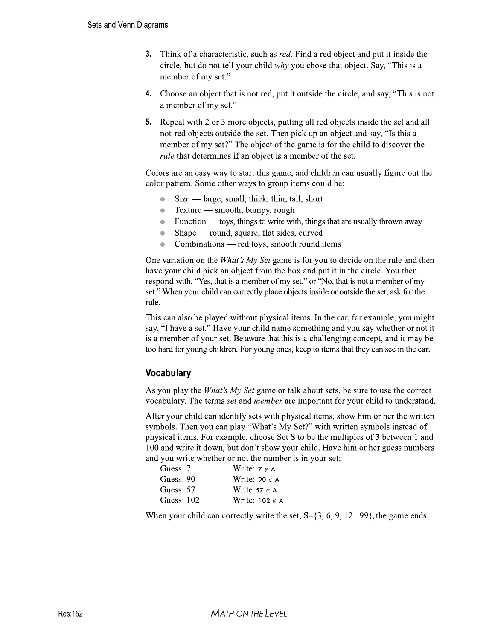- **3.** Think of a characteristic, such as *red*. Find a red object and put it inside the circle, but do not tell your child why you chose that object. Say, "This is a member of my set."
- 4. Choose an object that is not red, put it outside the circle, and say, "This is not a member of my set."
- **5.** Repeat with 2 or 3 more objects, putting all red objects inside the set and all not-red objects outside the set. Then pick up an object and say, "Is this a member of my set?" The object of the game is for the child to discover the *rule* that determines if an object is a member of the set.

Colors are an easy way to start this game, and children can usually figure out the color pattern. Some other ways to group items could be:

- $Size large$ , small, thick, thin, tall, short
- Texture smooth, bumpy, rough  $\bullet$
- Function toys, things to write with, things that are usually thrown away  $\bullet$
- Shape round, square, flat sides, curved  $\bullet$
- Combinations red toys, smooth round items  $\blacksquare$

One variation on the *What's My Set* game is for you to decide on the rule and then have your child pick an object from the box and put it in the circle. You then respond with, "Yes, that is a member of my set," or "No, that is not a member of my set." When your child can correctly place objects inside or outside the set, ask for the rule.

This can also be played without physical items. In the car, for example, you might say, "I have a set." Have your child name something and you say whether or not it is a member of your set. Be aware that this is a challenging concept, and it may be too hard for young children. For young ones, keep to items that they can see in the car.

## **Vocabulary**

As you play the *What's My Set* game or talk about sets, be sure to use the correct vocabulary. The terms *set* and *member* are important for your child to understand.

After your child can identify sets with physical items, show him or her the written symbols. Then you can play "What's My Set?" with written symbols instead of physical items. For example, choose Set S to be the multiples of 3 between 1 and 100 and write it down, but don't show your child. Have him or her guess numbers and you write whether or not the number is in your set:

| Guess: 7          | Write: $7 \notin A$   |
|-------------------|-----------------------|
| Guess: 90         | Write: $90 \in A$     |
| Guess: 57         | Write $57 \in A$      |
| <b>Guess: 102</b> | Write: $102 \notin A$ |

When your child can correctly write the set,  $S = \{3, 6, 9, 12 \ldots 99\}$ , the game ends.